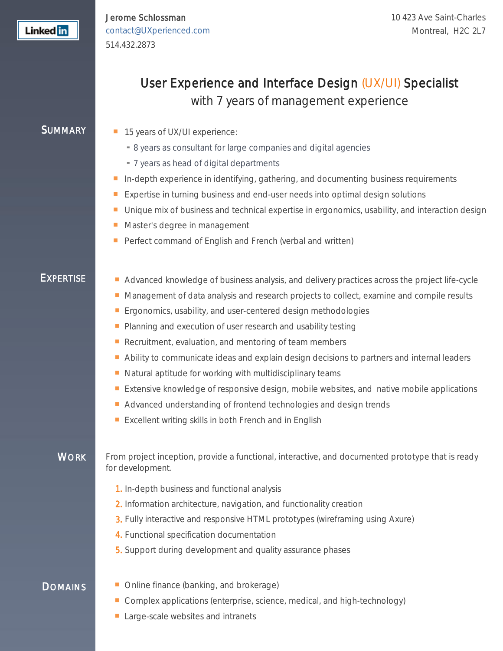Jerome Schlossman [contact@UXperienced.com](mailto:contact@UXperienced.com) 514.432.2873

# User Experience and Interface Design (UX/UI) Specialist

with 7 years of management experience

- SUMMARY **15** years of UX/UI experience:
	- 8 years as consultant for large companies and digital agencies
	- 7 years as head of digital departments
	- In-depth experience in identifying, gathering, and documenting business requirements
	- Expertise in turning business and end-user needs into optimal design solutions
	- **Unique mix of business and technical expertise in ergonomics, usability, and interaction design**
	- Master's degree in management
	- Perfect command of English and French (verbal and written)

- EXPERTISE **EXPERTISE** Advanced knowledge of business analysis, and delivery practices across the project life-cycle
	- **Management of data analysis and research projects to collect, examine and compile results**
	- **Example 20** Ergonomics, usability, and user-centered design methodologies
	- **Planning and execution of user research and usability testing**
	- Recruitment, evaluation, and mentoring of team members
	- Ability to communicate ideas and explain design decisions to partners and internal leaders
	- $\blacksquare$  Natural aptitude for working with multidisciplinary teams
	- **Extensive knowledge of responsive design, mobile websites, and native mobile applications**
	- Advanced understanding of frontend technologies and design trends
	- **Excellent writing skills in both French and in English**

WORK From project inception, provide a functional, interactive, and documented prototype that is ready for development.

- 1. In-depth business and functional analysis
- 2. Information architecture, navigation, and functionality creation
- 3. Fully interactive and responsive HTML prototypes (wireframing using Axure)
- 4. Functional specification documentation
- 5. Support during development and quality assurance phases

- **DOMAINS** Conline finance (banking, and brokerage)
	- Complex applications (enterprise, science, medical, and high-technology)
	- Large-scale websites and intranets